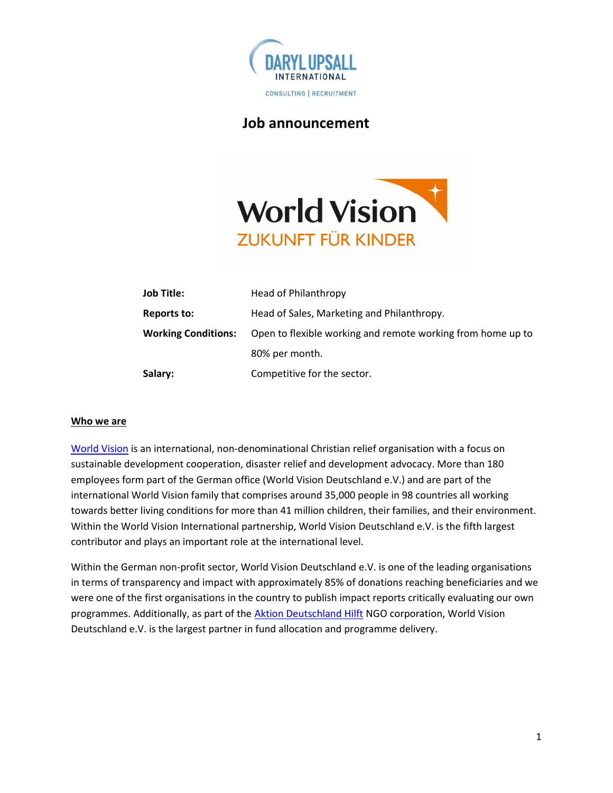

# Job announcement



| <b>Job Title:</b>          | Head of Philanthropy                                        |
|----------------------------|-------------------------------------------------------------|
| Reports to:                | Head of Sales, Marketing and Philanthropy.                  |
| <b>Working Conditions:</b> | Open to flexible working and remote working from home up to |
|                            | 80% per month.                                              |
| Salary:                    | Competitive for the sector.                                 |

## Who we are

World Vision is an international, non-denominational Christian relief organisation with a focus on sustainable development cooperation, disaster relief and development advocacy. More than 180 employees form part of the German office (World Vision Deutschland e.V.) and are part of the international World Vision family that comprises around 35,000 people in 98 countries all working towards better living conditions for more than 41 million children, their families, and their environment. Within the World Vision International partnership, World Vision Deutschland e.V. is the fifth largest contributor and plays an important role at the international level.

Within the German non-profit sector, World Vision Deutschland e.V. is one of the leading organisations in terms of transparency and impact with approximately 85% of donations reaching beneficiaries and we were one of the first organisations in the country to publish impact reports critically evaluating our own programmes. Additionally, as part of the Aktion Deutschland Hilft NGO corporation, World Vision Deutschland e.V. is the largest partner in fund allocation and programme delivery.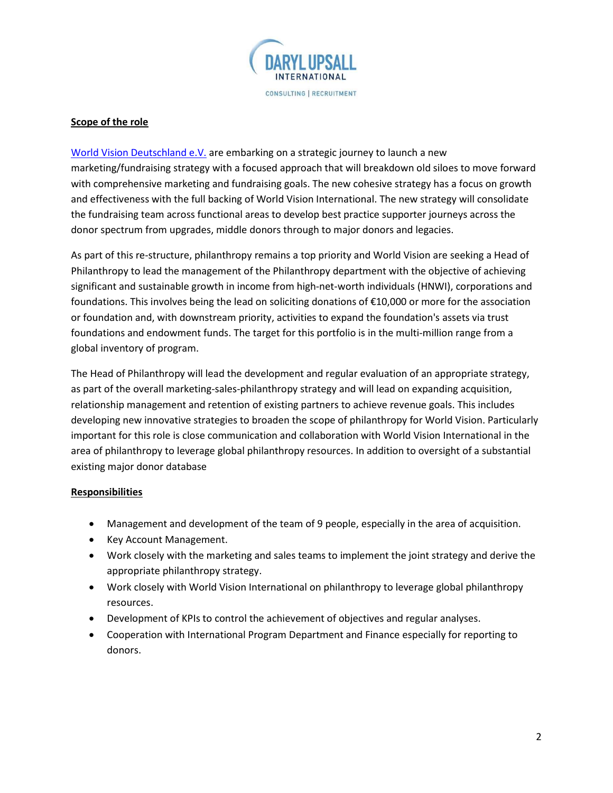

## Scope of the role

World Vision Deutschland e.V. are embarking on a strategic journey to launch a new marketing/fundraising strategy with a focused approach that will breakdown old siloes to move forward with comprehensive marketing and fundraising goals. The new cohesive strategy has a focus on growth and effectiveness with the full backing of World Vision International. The new strategy will consolidate the fundraising team across functional areas to develop best practice supporter journeys across the donor spectrum from upgrades, middle donors through to major donors and legacies.

As part of this re-structure, philanthropy remains a top priority and World Vision are seeking a Head of Philanthropy to lead the management of the Philanthropy department with the objective of achieving significant and sustainable growth in income from high-net-worth individuals (HNWI), corporations and foundations. This involves being the lead on soliciting donations of €10,000 or more for the association or foundation and, with downstream priority, activities to expand the foundation's assets via trust foundations and endowment funds. The target for this portfolio is in the multi-million range from a global inventory of program.

The Head of Philanthropy will lead the development and regular evaluation of an appropriate strategy, as part of the overall marketing-sales-philanthropy strategy and will lead on expanding acquisition, relationship management and retention of existing partners to achieve revenue goals. This includes developing new innovative strategies to broaden the scope of philanthropy for World Vision. Particularly important for this role is close communication and collaboration with World Vision International in the area of philanthropy to leverage global philanthropy resources. In addition to oversight of a substantial existing major donor database

## **Responsibilities**

- Management and development of the team of 9 people, especially in the area of acquisition.
- Key Account Management.
- Work closely with the marketing and sales teams to implement the joint strategy and derive the appropriate philanthropy strategy.
- Work closely with World Vision International on philanthropy to leverage global philanthropy resources.
- Development of KPIs to control the achievement of objectives and regular analyses.
- Cooperation with International Program Department and Finance especially for reporting to donors.